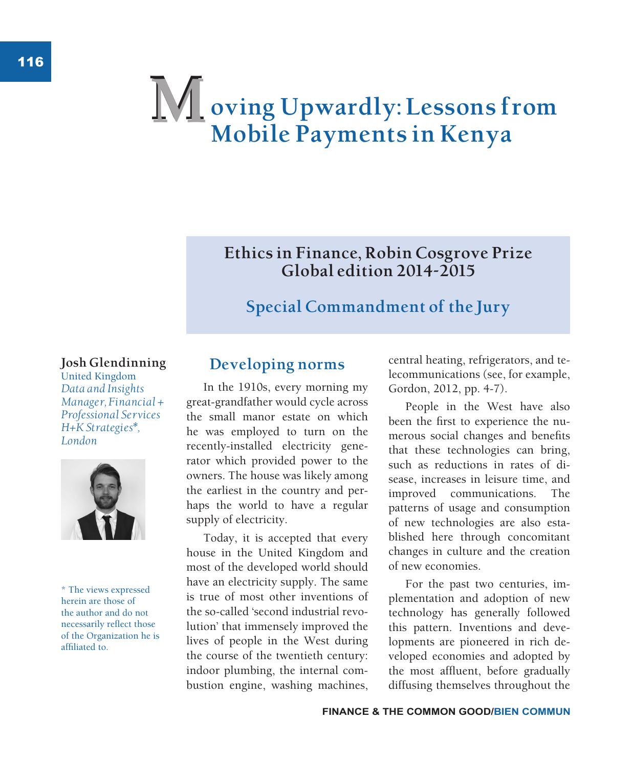# **oving Upwardly: Lessons from Mobile Payments in Kenya M**

# **Ethics in Finance, Robin Cosgrove Prize Global edition 2014-2015**

# **Special Commandment of the Jury**

#### **Josh Glendinning**

United Kingdom *Data and Insights Manager, Financial + Professional Services H+K Strategies\*, London*



\* The views expressed herein are those of the author and do not necessarily reflect those of the Organization he is affiliated to.

# **Developing norms**

In the 1910s, every morning my great-grandfather would cycle across the small manor estate on which he was employed to turn on the recently-installed electricity generator which provided power to the owners. The house was likely among the earliest in the country and perhaps the world to have a regular supply of electricity.

Today, it is accepted that every house in the United Kingdom and most of the developed world should have an electricity supply. The same is true of most other inventions of the so-called 'second industrial revolution' that immensely improved the lives of people in the West during the course of the twentieth century: indoor plumbing, the internal combustion engine, washing machines, central heating, refrigerators, and telecommunications (see, for example, Gordon, 2012, pp. 4-7).

People in the West have also been the first to experience the numerous social changes and benefits that these technologies can bring, such as reductions in rates of disease, increases in leisure time, and improved communications. The patterns of usage and consumption of new technologies are also established here through concomitant changes in culture and the creation of new economies.

For the past two centuries, implementation and adoption of new technology has generally followed this pattern. Inventions and developments are pioneered in rich developed economies and adopted by the most affluent, before gradually diffusing themselves throughout the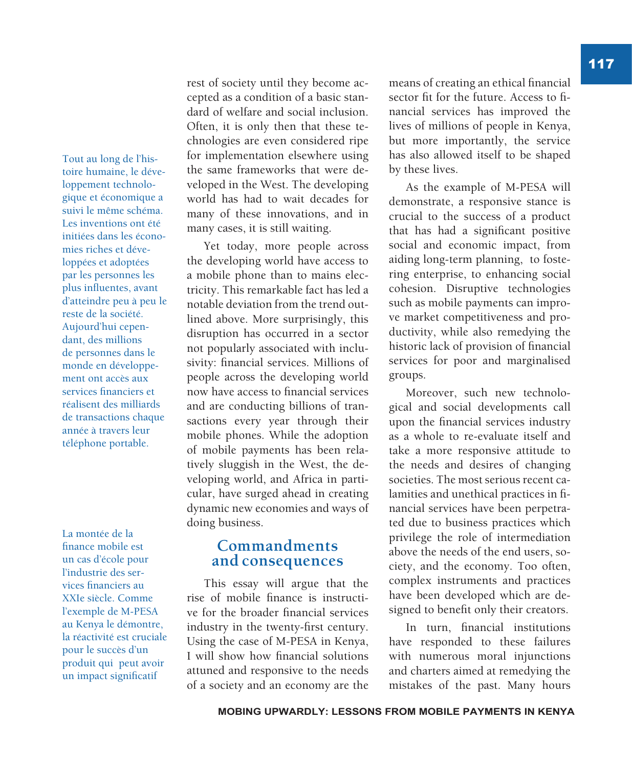Tout au long de l'histoire humaine, le développement technologique et économique a suivi le même schéma. Les inventions ont été initiées dans les économies riches et développées et adoptées par les personnes les plus influentes, avant d'atteindre peu à peu le reste de la société. Aujourd'hui cependant, des millions de personnes dans le monde en développement ont accès aux services financiers et réalisent des milliards de transactions chaque année à travers leur téléphone portable.

La montée de la finance mobile est un cas d'école pour l'industrie des services financiers au XXIe siècle. Comme l'exemple de M-PESA au Kenya le démontre, la réactivité est cruciale pour le succès d'un produit qui peut avoir un impact significatif

rest of society until they become accepted as a condition of a basic standard of welfare and social inclusion. Often, it is only then that these technologies are even considered ripe for implementation elsewhere using the same frameworks that were developed in the West. The developing world has had to wait decades for many of these innovations, and in many cases, it is still waiting.

Yet today, more people across the developing world have access to a mobile phone than to mains electricity. This remarkable fact has led a notable deviation from the trend outlined above. More surprisingly, this disruption has occurred in a sector not popularly associated with inclusivity: financial services. Millions of people across the developing world now have access to financial services and are conducting billions of transactions every year through their mobile phones. While the adoption of mobile payments has been relatively sluggish in the West, the developing world, and Africa in particular, have surged ahead in creating dynamic new economies and ways of doing business.

#### **Commandments and consequences**

This essay will argue that the rise of mobile finance is instructive for the broader financial services industry in the twenty-first century. Using the case of M-PESA in Kenya, I will show how financial solutions attuned and responsive to the needs of a society and an economy are the

means of creating an ethical financial sector fit for the future. Access to financial services has improved the lives of millions of people in Kenya, but more importantly, the service has also allowed itself to be shaped by these lives.

As the example of M-PESA will demonstrate, a responsive stance is crucial to the success of a product that has had a significant positive social and economic impact, from aiding long-term planning, to fostering enterprise, to enhancing social cohesion. Disruptive technologies such as mobile payments can improve market competitiveness and productivity, while also remedying the historic lack of provision of financial services for poor and marginalised groups.

Moreover, such new technological and social developments call upon the financial services industry as a whole to re-evaluate itself and take a more responsive attitude to the needs and desires of changing societies. The most serious recent calamities and unethical practices in financial services have been perpetrated due to business practices which privilege the role of intermediation above the needs of the end users, society, and the economy. Too often, complex instruments and practices have been developed which are designed to benefit only their creators.

In turn, financial institutions have responded to these failures with numerous moral injunctions and charters aimed at remedying the mistakes of the past. Many hours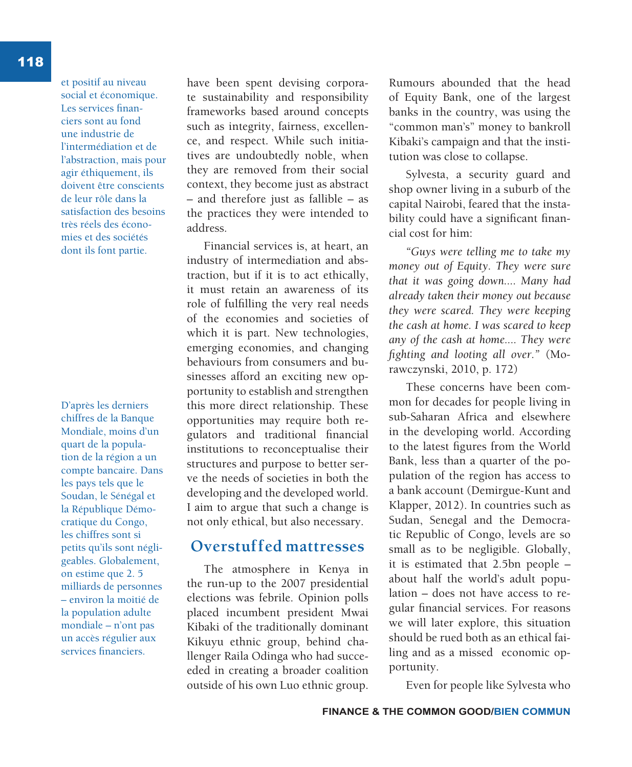et positif au niveau social et économique. Les services financiers sont au fond une industrie de l'intermédiation et de l'abstraction, mais pour agir éthiquement, ils doivent être conscients de leur rôle dans la satisfaction des besoins très réels des économies et des sociétés dont ils font partie.

D'après les derniers chiffres de la Banque Mondiale, moins d'un quart de la population de la région a un compte bancaire. Dans les pays tels que le Soudan, le Sénégal et la République Démocratique du Congo, les chiffres sont si petits qu'ils sont négligeables. Globalement, on estime que 2. 5 milliards de personnes – environ la moitié de la population adulte mondiale – n'ont pas un accès régulier aux services financiers.

have been spent devising corporate sustainability and responsibility frameworks based around concepts such as integrity, fairness, excellence, and respect. While such initiatives are undoubtedly noble, when they are removed from their social context, they become just as abstract – and therefore just as fallible – as the practices they were intended to address.

Financial services is, at heart, an industry of intermediation and abstraction, but if it is to act ethically, it must retain an awareness of its role of fulfilling the very real needs of the economies and societies of which it is part. New technologies, emerging economies, and changing behaviours from consumers and businesses afford an exciting new opportunity to establish and strengthen this more direct relationship. These opportunities may require both regulators and traditional financial institutions to reconceptualise their structures and purpose to better serve the needs of societies in both the developing and the developed world. I aim to argue that such a change is not only ethical, but also necessary.

## **Overstuffed mattresses**

The atmosphere in Kenya in the run-up to the 2007 presidential elections was febrile. Opinion polls placed incumbent president Mwai Kibaki of the traditionally dominant Kikuyu ethnic group, behind challenger Raila Odinga who had succeeded in creating a broader coalition outside of his own Luo ethnic group.

Rumours abounded that the head of Equity Bank, one of the largest banks in the country, was using the "common man's" money to bankroll Kibaki's campaign and that the institution was close to collapse.

Sylvesta, a security guard and shop owner living in a suburb of the capital Nairobi, feared that the instability could have a significant financial cost for him:

*"Guys were telling me to take my money out of Equity. They were sure that it was going down.... Many had already taken their money out because they were scared. They were keeping the cash at home. I was scared to keep any of the cash at home.... They were fighting and looting all over."* (Morawczynski, 2010, p. 172)

These concerns have been common for decades for people living in sub-Saharan Africa and elsewhere in the developing world. According to the latest figures from the World Bank, less than a quarter of the population of the region has access to a bank account (Demirgue-Kunt and Klapper, 2012). In countries such as Sudan, Senegal and the Democratic Republic of Congo, levels are so small as to be negligible. Globally, it is estimated that 2.5bn people – about half the world's adult population – does not have access to regular financial services. For reasons we will later explore, this situation should be rued both as an ethical failing and as a missed economic opportunity.

Even for people like Sylvesta who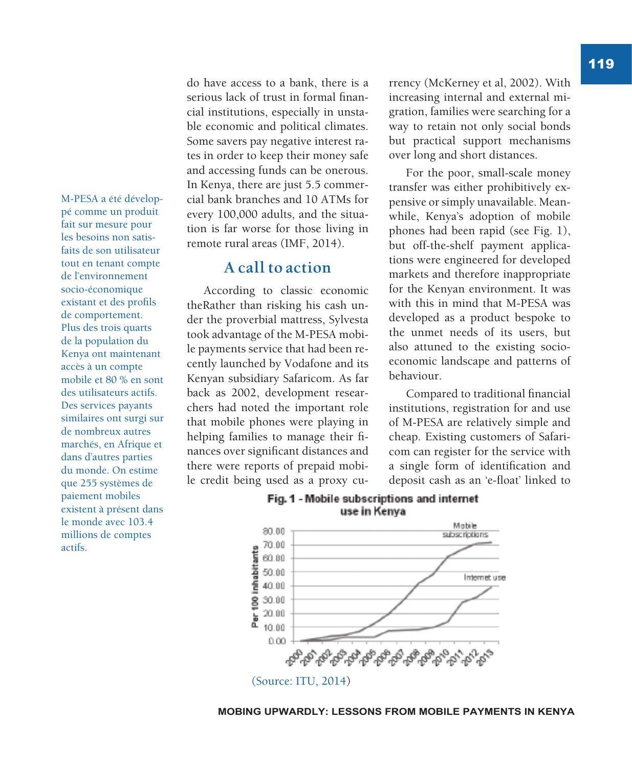M-PESA a été développé comme un produit fait sur mesure pour les besoins non satisfaits de son utilisateur tout en tenant compte de l'environnement socio-économique existant et des profils de comportement. Plus des trois quarts de la population du Kenya ont maintenant accès à un compte mobile et 80 % en sont des utilisateurs actifs. Des services payants similaires ont surgi sur de nombreux autres marchés, en Afrique et dans d'autres parties du monde. On estime que 255 systèmes de paiement mobiles existent à présent dans le monde avec 103.4 millions de comptes actifs.

do have access to a bank, there is a serious lack of trust in formal financial institutions, especially in unstable economic and political climates. Some savers pay negative interest rates in order to keep their money safe and accessing funds can be onerous. In Kenya, there are just 5.5 commercial bank branches and 10 ATMs for every 100,000 adults, and the situation is far worse for those living in remote rural areas (IMF, 2014).

#### **A call to action**

According to classic economic theRather than risking his cash under the proverbial mattress, Sylvesta took advantage of the M-PESA mobile payments service that had been recently launched by Vodafone and its Kenyan subsidiary Safaricom. As far back as 2002, development researchers had noted the important role that mobile phones were playing in helping families to manage their finances over significant distances and there were reports of prepaid mobile credit being used as a proxy currency (McKerney et al, 2002). With increasing internal and external migration, families were searching for a way to retain not only social bonds but practical support mechanisms over long and short distances.

For the poor, small-scale money transfer was either prohibitively expensive or simply unavailable. Meanwhile, Kenya's adoption of mobile phones had been rapid (see Fig. 1), but off-the-shelf payment applications were engineered for developed markets and therefore inappropriate for the Kenyan environment. It was with this in mind that M-PESA was developed as a product bespoke to the unmet needs of its users, but also attuned to the existing socioeconomic landscape and patterns of behaviour.

Compared to traditional financial institutions, registration for and use of M-PESA are relatively simple and cheap. Existing customers of Safaricom can register for the service with a single form of identification and deposit cash as an 'e-float' linked to



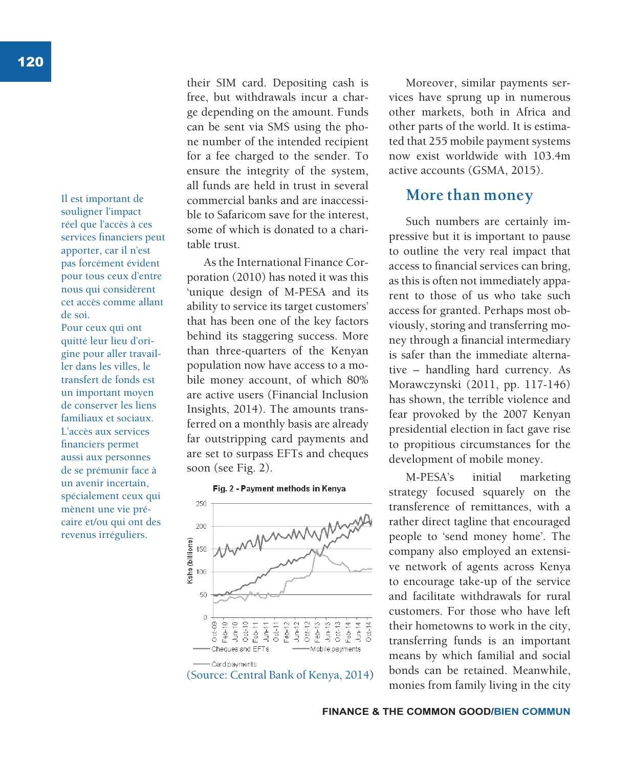Il est important de souligner l'impact réel que l'accès à ces services financiers peut apporter, car il n'est pas forcément évident pour tous ceux d'entre nous qui considèrent cet accès comme allant de soi. Pour ceux qui ont quitté leur lieu d'origine pour aller travailler dans les villes, le transfert de fonds est un important moyen de conserver les liens familiaux et sociaux. L'accès aux services financiers permet aussi aux personnes de se prémunir face à un avenir incertain, spécialement ceux qui mènent une vie précaire et/ou qui ont des revenus irréguliers.

their SIM card. Depositing cash is free, but withdrawals incur a charge depending on the amount. Funds can be sent via SMS using the phone number of the intended recipient for a fee charged to the sender. To ensure the integrity of the system, all funds are held in trust in several commercial banks and are inaccessible to Safaricom save for the interest, some of which is donated to a charitable trust.

As the International Finance Corporation (2010) has noted it was this 'unique design of M-PESA and its ability to service its target customers' that has been one of the key factors behind its staggering success. More than three-quarters of the Kenyan population now have access to a mobile money account, of which 80% are active users (Financial Inclusion Insights, 2014). The amounts transferred on a monthly basis are already far outstripping card payments and are set to surpass EFTs and cheques soon (see Fig. 2).





Moreover, similar payments services have sprung up in numerous other markets, both in Africa and other parts of the world. It is estimated that 255 mobile payment systems now exist worldwide with 103.4m active accounts (GSMA, 2015).

#### **More than money**

Such numbers are certainly impressive but it is important to pause to outline the very real impact that access to financial services can bring, as this is often not immediately apparent to those of us who take such access for granted. Perhaps most obviously, storing and transferring money through a financial intermediary is safer than the immediate alternative – handling hard currency. As Morawczynski (2011, pp. 117-146) has shown, the terrible violence and fear provoked by the 2007 Kenyan presidential election in fact gave rise to propitious circumstances for the development of mobile money.

M-PESA's initial marketing strategy focused squarely on the transference of remittances, with a rather direct tagline that encouraged people to 'send money home'. The company also employed an extensive network of agents across Kenya to encourage take-up of the service and facilitate withdrawals for rural customers. For those who have left their hometowns to work in the city, transferring funds is an important means by which familial and social bonds can be retained. Meanwhile, (Source: Central Bank of Kenya, 2014) bolds can be retained. Meanwhile,<br>monies from family living in the city

**FINANCE & THE COMMON GOOD/BIEN COMMUN**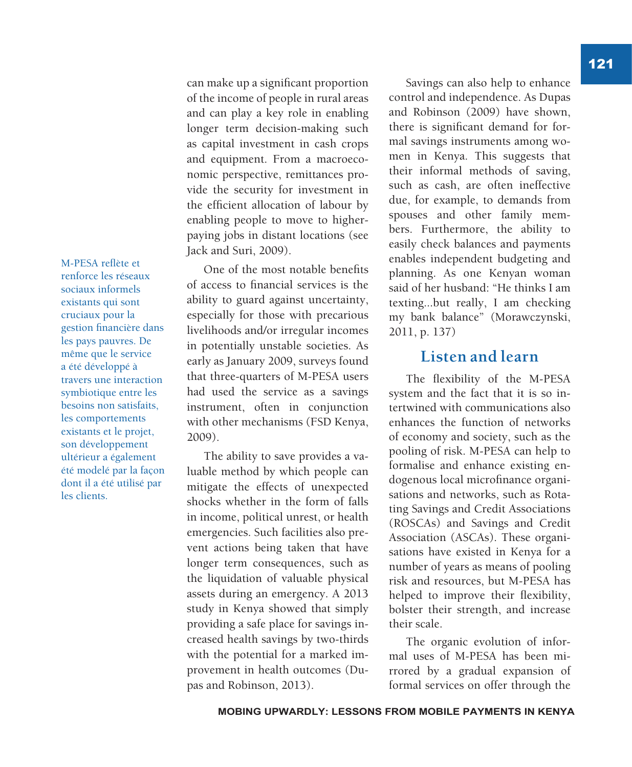M-PESA reflète et renforce les réseaux sociaux informels existants qui sont cruciaux pour la gestion financière dans les pays pauvres. De même que le service a été développé à travers une interaction symbiotique entre les besoins non satisfaits, les comportements existants et le projet, son développement ultérieur a également été modelé par la façon dont il a été utilisé par les clients.

can make up a significant proportion of the income of people in rural areas and can play a key role in enabling longer term decision-making such as capital investment in cash crops and equipment. From a macroeconomic perspective, remittances provide the security for investment in the efficient allocation of labour by enabling people to move to higherpaying jobs in distant locations (see Jack and Suri, 2009).

One of the most notable benefits of access to financial services is the ability to guard against uncertainty, especially for those with precarious livelihoods and/or irregular incomes in potentially unstable societies. As early as January 2009, surveys found that three-quarters of M-PESA users had used the service as a savings instrument, often in conjunction with other mechanisms (FSD Kenya, 2009).

The ability to save provides a valuable method by which people can mitigate the effects of unexpected shocks whether in the form of falls in income, political unrest, or health emergencies. Such facilities also prevent actions being taken that have longer term consequences, such as the liquidation of valuable physical assets during an emergency. A 2013 study in Kenya showed that simply providing a safe place for savings increased health savings by two-thirds with the potential for a marked improvement in health outcomes (Dupas and Robinson, 2013).

Savings can also help to enhance control and independence. As Dupas and Robinson (2009) have shown, there is significant demand for formal savings instruments among women in Kenya. This suggests that their informal methods of saving, such as cash, are often ineffective due, for example, to demands from spouses and other family members. Furthermore, the ability to easily check balances and payments enables independent budgeting and planning. As one Kenyan woman said of her husband: "He thinks I am texting...but really, I am checking my bank balance" (Morawczynski, 2011, p. 137)

## **Listen and learn**

The flexibility of the M-PESA system and the fact that it is so intertwined with communications also enhances the function of networks of economy and society, such as the pooling of risk. M-PESA can help to formalise and enhance existing endogenous local microfinance organisations and networks, such as Rotating Savings and Credit Associations (ROSCAs) and Savings and Credit Association (ASCAs). These organisations have existed in Kenya for a number of years as means of pooling risk and resources, but M-PESA has helped to improve their flexibility, bolster their strength, and increase their scale.

The organic evolution of informal uses of M-PESA has been mirrored by a gradual expansion of formal services on offer through the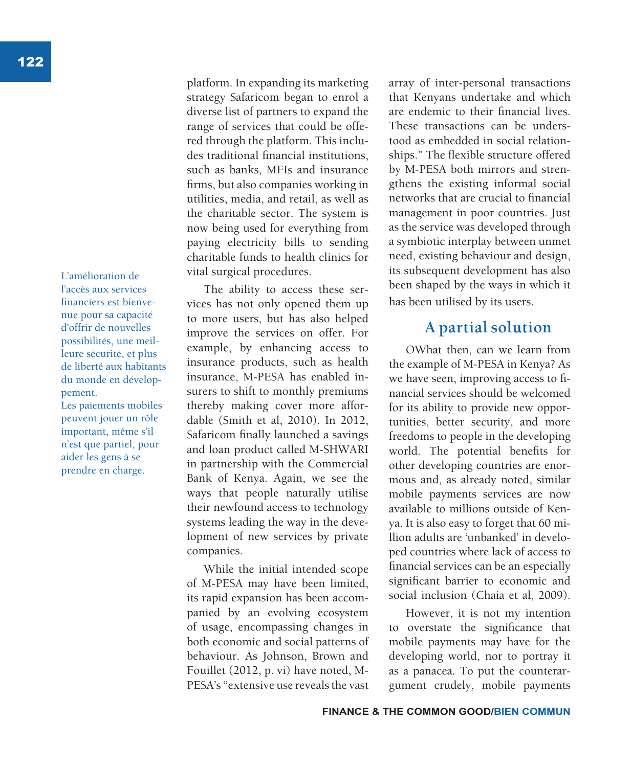L'amélioration de l'accès aux services financiers est bienvenue pour sa capacité d'offrir de nouvelles possibilités, une meilleure sécurité, et plus de liberté aux habitants du monde en développement.

Les paiements mobiles peuvent jouer un rôle important, même s'il n'est que partiel, pour aider les gens à se prendre en charge.

platform. In expanding its marketing strategy Safaricom began to enrol a diverse list of partners to expand the range of services that could be offered through the platform. This includes traditional financial institutions, such as banks, MFIs and insurance firms, but also companies working in utilities, media, and retail, as well as the charitable sector. The system is now being used for everything from paying electricity bills to sending charitable funds to health clinics for vital surgical procedures.

The ability to access these services has not only opened them up to more users, but has also helped improve the services on offer. For example, by enhancing access to insurance products, such as health insurance, M-PESA has enabled insurers to shift to monthly premiums thereby making cover more affordable (Smith et al, 2010). In 2012, Safaricom finally launched a savings and loan product called M-SHWARI in partnership with the Commercial Bank of Kenya. Again, we see the ways that people naturally utilise their newfound access to technology systems leading the way in the development of new services by private companies.

While the initial intended scope of M-PESA may have been limited, its rapid expansion has been accompanied by an evolving ecosystem of usage, encompassing changes in both economic and social patterns of behaviour. As Johnson, Brown and Fouillet (2012, p. vi) have noted, M-PESA's "extensive use reveals the vast

array of inter-personal transactions that Kenyans undertake and which are endemic to their financial lives. These transactions can be understood as embedded in social relationships." The flexible structure offered by M-PESA both mirrors and strengthens the existing informal social networks that are crucial to financial management in poor countries. Just as the service was developed through a symbiotic interplay between unmet need, existing behaviour and design, its subsequent development has also been shaped by the ways in which it has been utilised by its users.

# **A partial solution**

OWhat then, can we learn from the example of M-PESA in Kenya? As we have seen, improving access to financial services should be welcomed for its ability to provide new opportunities, better security, and more freedoms to people in the developing world. The potential benefits for other developing countries are enormous and, as already noted, similar mobile payments services are now available to millions outside of Kenya. It is also easy to forget that 60 million adults are 'unbanked' in developed countries where lack of access to financial services can be an especially significant barrier to economic and social inclusion (Chaia et al, 2009).

However, it is not my intention to overstate the significance that mobile payments may have for the developing world, nor to portray it as a panacea. To put the counterargument crudely, mobile payments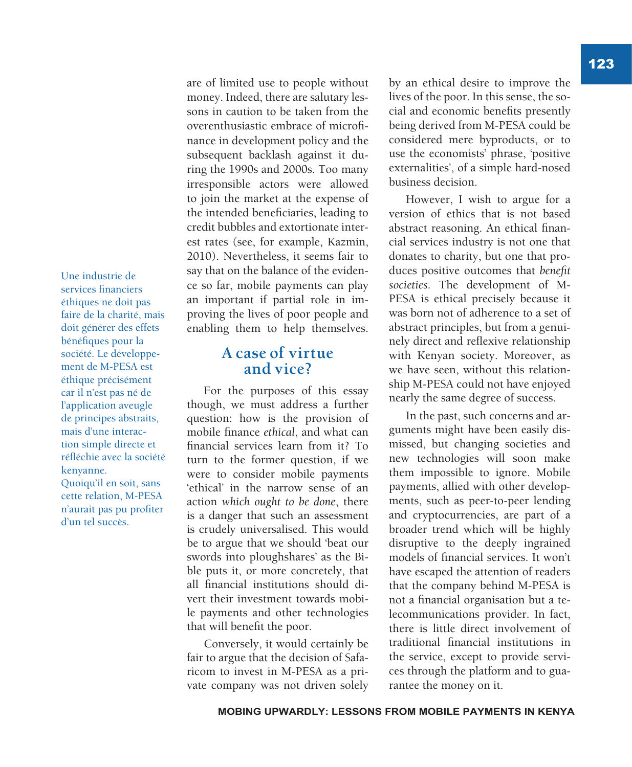Une industrie de services financiers éthiques ne doit pas faire de la charité, mais doit générer des effets bénéfiques pour la société. Le développement de M-PESA est éthique précisément car il n'est pas né de l'application aveugle de principes abstraits, mais d'une interaction simple directe et réfléchie avec la société kenyanne. Quoiqu'il en soit, sans cette relation, M-PESA n'aurait pas pu profiter d'un tel succès.

are of limited use to people without money. Indeed, there are salutary lessons in caution to be taken from the overenthusiastic embrace of microfinance in development policy and the subsequent backlash against it during the 1990s and 2000s. Too many irresponsible actors were allowed to join the market at the expense of the intended beneficiaries, leading to credit bubbles and extortionate interest rates (see, for example, Kazmin, 2010). Nevertheless, it seems fair to say that on the balance of the evidence so far, mobile payments can play an important if partial role in improving the lives of poor people and enabling them to help themselves.

## **A case of virtue and vice?**

For the purposes of this essay though, we must address a further question: how is the provision of mobile finance *ethical*, and what can financial services learn from it? To turn to the former question, if we were to consider mobile payments 'ethical' in the narrow sense of an action *which ought to be done*, there is a danger that such an assessment is crudely universalised. This would be to argue that we should 'beat our swords into ploughshares' as the Bible puts it, or more concretely, that all financial institutions should divert their investment towards mobile payments and other technologies that will benefit the poor.

Conversely, it would certainly be fair to argue that the decision of Safaricom to invest in M-PESA as a private company was not driven solely

by an ethical desire to improve the lives of the poor. In this sense, the social and economic benefits presently being derived from M-PESA could be considered mere byproducts, or to use the economists' phrase, 'positive externalities', of a simple hard-nosed business decision.

However, I wish to argue for a version of ethics that is not based abstract reasoning. An ethical financial services industry is not one that donates to charity, but one that produces positive outcomes that *benefit societies*. The development of M-PESA is ethical precisely because it was born not of adherence to a set of abstract principles, but from a genuinely direct and reflexive relationship with Kenyan society. Moreover, as we have seen, without this relationship M-PESA could not have enjoyed nearly the same degree of success.

In the past, such concerns and arguments might have been easily dismissed, but changing societies and new technologies will soon make them impossible to ignore. Mobile payments, allied with other developments, such as peer-to-peer lending and cryptocurrencies, are part of a broader trend which will be highly disruptive to the deeply ingrained models of financial services. It won't have escaped the attention of readers that the company behind M-PESA is not a financial organisation but a telecommunications provider. In fact, there is little direct involvement of traditional financial institutions in the service, except to provide services through the platform and to guarantee the money on it.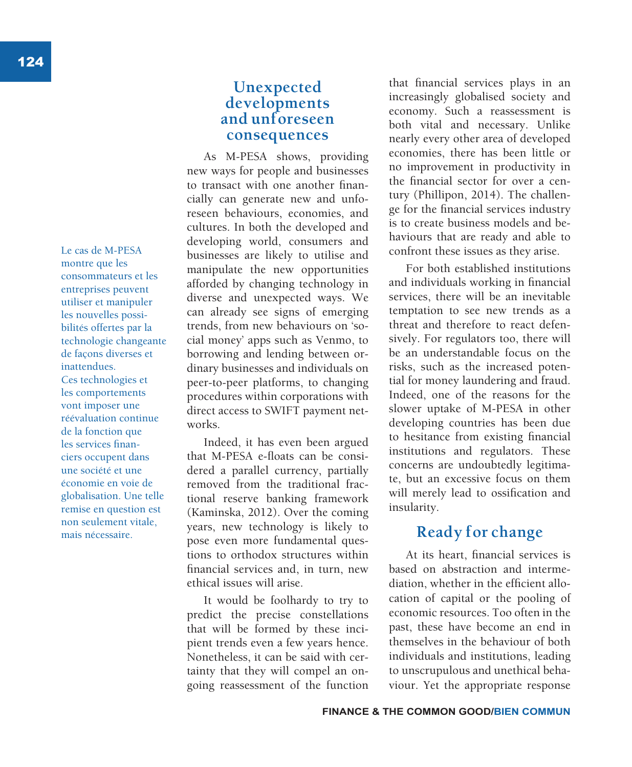Le cas de M-PESA montre que les consommateurs et les entreprises peuvent utiliser et manipuler les nouvelles possibilités offertes par la technologie changeante de façons diverses et inattendues. Ces technologies et les comportements vont imposer une réévaluation continue de la fonction que les services financiers occupent dans une société et une économie en voie de globalisation. Une telle remise en question est non seulement vitale, mais nécessaire.

# **Unexpected developments and unforeseen consequences**

As M-PESA shows, providing new ways for people and businesses to transact with one another financially can generate new and unforeseen behaviours, economies, and cultures. In both the developed and developing world, consumers and businesses are likely to utilise and manipulate the new opportunities afforded by changing technology in diverse and unexpected ways. We can already see signs of emerging trends, from new behaviours on 'social money' apps such as Venmo, to borrowing and lending between ordinary businesses and individuals on peer-to-peer platforms, to changing procedures within corporations with direct access to SWIFT payment networks.

Indeed, it has even been argued that M-PESA e-floats can be considered a parallel currency, partially removed from the traditional fractional reserve banking framework (Kaminska, 2012). Over the coming years, new technology is likely to pose even more fundamental questions to orthodox structures within financial services and, in turn, new ethical issues will arise.

It would be foolhardy to try to predict the precise constellations that will be formed by these incipient trends even a few years hence. Nonetheless, it can be said with certainty that they will compel an ongoing reassessment of the function

that financial services plays in an increasingly globalised society and economy. Such a reassessment is both vital and necessary. Unlike nearly every other area of developed economies, there has been little or no improvement in productivity in the financial sector for over a century (Phillipon, 2014). The challenge for the financial services industry is to create business models and behaviours that are ready and able to confront these issues as they arise.

For both established institutions and individuals working in financial services, there will be an inevitable temptation to see new trends as a threat and therefore to react defensively. For regulators too, there will be an understandable focus on the risks, such as the increased potential for money laundering and fraud. Indeed, one of the reasons for the slower uptake of M-PESA in other developing countries has been due to hesitance from existing financial institutions and regulators. These concerns are undoubtedly legitimate, but an excessive focus on them will merely lead to ossification and insularity.

# **Ready for change**

At its heart, financial services is based on abstraction and intermediation, whether in the efficient allocation of capital or the pooling of economic resources. Too often in the past, these have become an end in themselves in the behaviour of both individuals and institutions, leading to unscrupulous and unethical behaviour. Yet the appropriate response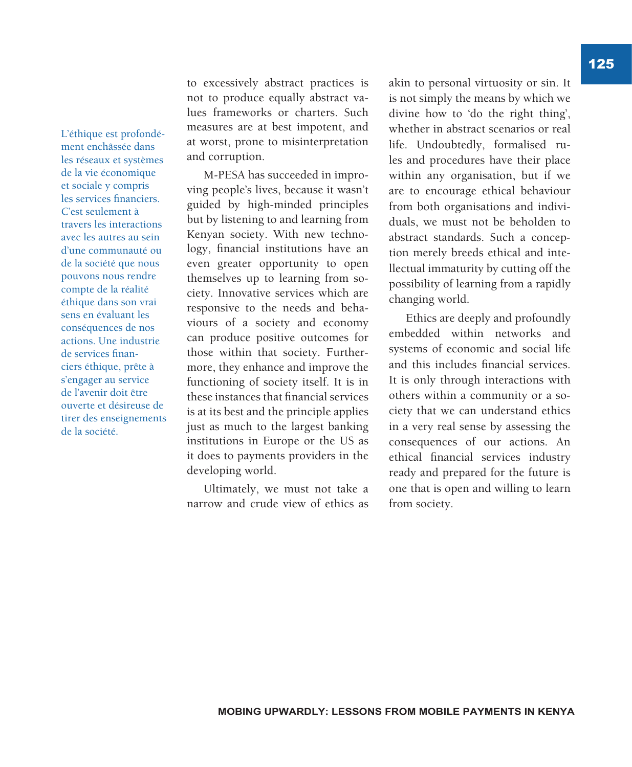L'éthique est profondément enchâssée dans les réseaux et systèmes de la vie économique et sociale y compris les services financiers. C'est seulement à travers les interactions avec les autres au sein d'une communauté ou de la société que nous pouvons nous rendre compte de la réalité éthique dans son vrai sens en évaluant les conséquences de nos actions. Une industrie de services financiers éthique, prête à s'engager au service de l'avenir doit être ouverte et désireuse de tirer des enseignements de la société.

to excessively abstract practices is not to produce equally abstract values frameworks or charters. Such measures are at best impotent, and at worst, prone to misinterpretation and corruption.

M-PESA has succeeded in improving people's lives, because it wasn't guided by high-minded principles but by listening to and learning from Kenyan society. With new technology, financial institutions have an even greater opportunity to open themselves up to learning from society. Innovative services which are responsive to the needs and behaviours of a society and economy can produce positive outcomes for those within that society. Furthermore, they enhance and improve the functioning of society itself. It is in these instances that financial services is at its best and the principle applies just as much to the largest banking institutions in Europe or the US as it does to payments providers in the developing world.

Ultimately, we must not take a narrow and crude view of ethics as

akin to personal virtuosity or sin. It is not simply the means by which we divine how to 'do the right thing', whether in abstract scenarios or real life. Undoubtedly, formalised rules and procedures have their place within any organisation, but if we are to encourage ethical behaviour from both organisations and individuals, we must not be beholden to abstract standards. Such a conception merely breeds ethical and intellectual immaturity by cutting off the possibility of learning from a rapidly changing world.

Ethics are deeply and profoundly embedded within networks and systems of economic and social life and this includes financial services. It is only through interactions with others within a community or a society that we can understand ethics in a very real sense by assessing the consequences of our actions. An ethical financial services industry ready and prepared for the future is one that is open and willing to learn from society.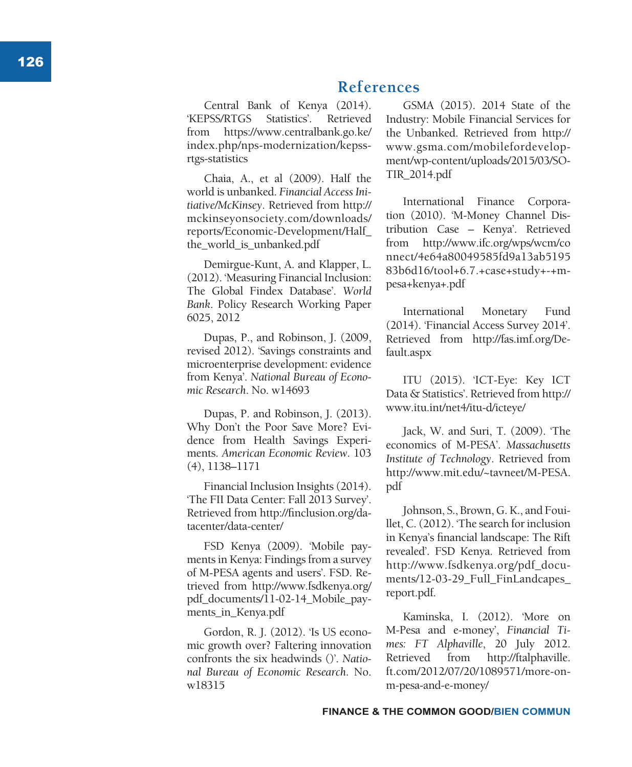# **References**

Central Bank of Kenya (2014). 'KEPSS/RTGS Statistics'. Retrieved from https://www.centralbank.go.ke/ index.php/nps-modernization/kepssrtgs-statistics

Chaia, A., et al (2009). Half the world is unbanked. *Financial Access Ini tiative/McKinsey*. Retrieved from http:// mckinseyonsociety.com/downloads/ reports/Economic-Development/Half\_ the world is unbanked.pdf

Demirgue-Kunt, A. and Klapper, L. (2012). 'Measuring Financial Inclusion: The Global Findex Database'. *World Bank*. Policy Research Working Paper 6025, 2012

Dupas, P., and Robinson, J. (2009, revised 2012). 'Savings constraints and microenterprise development: evidence from Kenya'. *National Bureau of Econo mic Research*. No. w14693

Dupas, P. and Robinson, J. (2013). Why Don't the Poor Save More? Evi dence from Health Savings Experi ments. *American Economic Review*. 103 (4), 1138–1171

Financial Inclusion Insights (2014). 'The FII Data Center: Fall 2013 Survey'. Retrieved from http://finclusion.org/da tacenter/data-center/

FSD Kenya (2009). 'Mobile pay ments in Kenya: Findings from a survey of M-PESA agents and users'. FSD. Re trieved from http://www.fsdkenya.org/ pdf\_documents/11-02-14\_Mobile\_pay ments in Kenya.pdf

Gordon, R. J. (2012). 'Is US econo mic growth over? Faltering innovation confronts the six headwinds ()'. *Natio nal Bureau of Economic Research*. No. w18315

GSMA (2015). 2014 State of the Industry: Mobile Financial Services for the Unbanked. Retrieved from http:// www.gsma.com/mobilefordevelop ment/wp-content/uploads/2015/03/SO - TIR\_2014.pdf

International Finance Corpora tion (2010). 'M-Money Channel Dis tribution Case – Kenya'. Retrieved from http://www.ifc.org/wps/wcm/co nnect/4e64a80049585fd9a13ab5195 83b6d16/tool+6.7.+case+study+-+mpesa+kenya+.pdf

International Monetary Fund (2014). 'Financial Access Survey 2014'. Retrieved from http://fas.imf.org/De fault.aspx

ITU (2015). 'ICT-Eye: Key ICT Data & Statistics'. Retrieved from http:// www.itu.int/net4/itu-d/icteye/

Jack, W. and Suri, T. (2009). 'The economics of M-PESA'. *Massachusetts Institute of Technology*. Retrieved from http://www.mit.edu/~tavneet/M-PESA. pdf

Johnson, S., Brown, G. K., and Foui llet, C. (2012). 'The search for inclusion in Kenya's financial landscape: The Rift revealed'. FSD Kenya. Retrieved from http://www.fsdkenya.org/pdf\_docu ments/12-03-29\_Full\_FinLandcapes\_ report.pdf.

Kaminska, I. (2012). 'More on M-Pesa and e-money', *Financial Ti mes: FT Alphaville*, 20 July 2012. Retrieved from http://ftalphaville. ft.com/2012/07/20/1089571/more-onm-pesa-and-e-money/